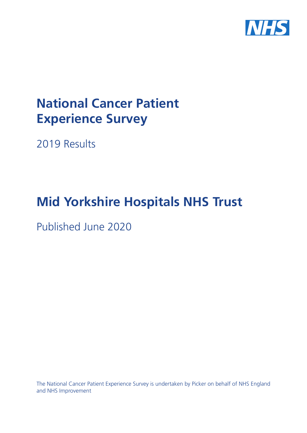

# **National Cancer Patient Experience Survey**

2019 Results

# **Mid Yorkshire Hospitals NHS Trust**

Published June 2020

The National Cancer Patient Experience Survey is undertaken by Picker on behalf of NHS England and NHS Improvement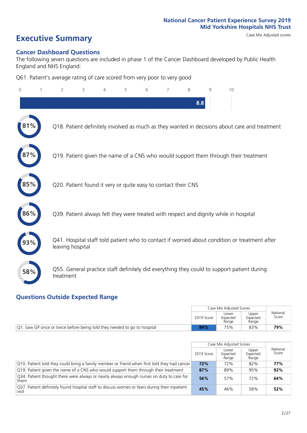# **Executive Summary** Case Mix Adjusted scores

#### **Cancer Dashboard Questions**

The following seven questions are included in phase 1 of the Cancer Dashboard developed by Public Health England and NHS England:

Q61. Patient's average rating of care scored from very poor to very good

| 0   | $\overline{2}$                                                | 3 | 4 | 5 | 6 | 7 | 8   | 9 | 10                                                                                            |
|-----|---------------------------------------------------------------|---|---|---|---|---|-----|---|-----------------------------------------------------------------------------------------------|
|     |                                                               |   |   |   |   |   | 8.8 |   |                                                                                               |
| 1%  |                                                               |   |   |   |   |   |     |   | Q18. Patient definitely involved as much as they wanted in decisions about care and treatment |
|     |                                                               |   |   |   |   |   |     |   | Q19. Patient given the name of a CNS who would support them through their treatment           |
| 85% | Q20. Patient found it very or quite easy to contact their CNS |   |   |   |   |   |     |   |                                                                                               |
| 86% |                                                               |   |   |   |   |   |     |   | Q39. Patient always felt they were treated with respect and dignity while in hospital         |
|     | leaving hospital                                              |   |   |   |   |   |     |   | Q41. Hospital staff told patient who to contact if worried about condition or treatment after |
| 58% | treatment                                                     |   |   |   |   |   |     |   | Q55. General practice staff definitely did everything they could to support patient during    |

### **Questions Outside Expected Range**

|                                                                           |            | Case Mix Adjusted Scores   |                            |                   |  |
|---------------------------------------------------------------------------|------------|----------------------------|----------------------------|-------------------|--|
|                                                                           | 2019 Score | Lower<br>Expected<br>Range | Upper<br>Expected<br>Range | National<br>Score |  |
| [Q1. Saw GP once or twice before being told they needed to go to hospital | 84%        | 75%                        | 83%                        | 79%               |  |

|                                                                                                          |            | Case Mix Adjusted Scores   |                            |                   |
|----------------------------------------------------------------------------------------------------------|------------|----------------------------|----------------------------|-------------------|
|                                                                                                          | 2019 Score | Lower<br>Expected<br>Range | Upper<br>Expected<br>Range | National<br>Score |
| Q10. Patient told they could bring a family member or friend when first told they had cancer             | 72%        | 72%                        | 82%                        | 77%               |
| Q19. Patient given the name of a CNS who would support them through their treatment                      | 87%        | 89%                        | 95%                        | 92%               |
| Q34. Patient thought there were always or nearly always enough nurses on duty to care for<br>  them      | 56%        | 57%                        | 72%                        | 64%               |
| 037. Patient definitely found hospital staff to discuss worries or fears during their inpatient<br>visit | 45%        | 46%                        | 58%                        | 52%               |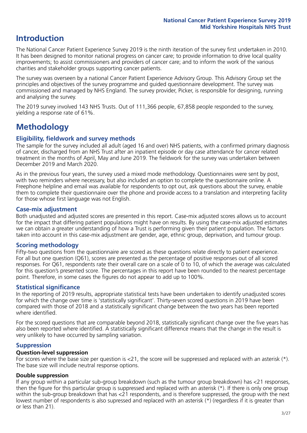## **Introduction**

The National Cancer Patient Experience Survey 2019 is the ninth iteration of the survey first undertaken in 2010. It has been designed to monitor national progress on cancer care; to provide information to drive local quality improvements; to assist commissioners and providers of cancer care; and to inform the work of the various charities and stakeholder groups supporting cancer patients.

The survey was overseen by a national Cancer Patient Experience Advisory Group. This Advisory Group set the principles and objectives of the survey programme and guided questionnaire development. The survey was commissioned and managed by NHS England. The survey provider, Picker, is responsible for designing, running and analysing the survey.

The 2019 survey involved 143 NHS Trusts. Out of 111,366 people, 67,858 people responded to the survey, yielding a response rate of 61%.

# **Methodology**

#### **Eligibility, eldwork and survey methods**

The sample for the survey included all adult (aged 16 and over) NHS patients, with a confirmed primary diagnosis of cancer, discharged from an NHS Trust after an inpatient episode or day case attendance for cancer related treatment in the months of April, May and June 2019. The fieldwork for the survey was undertaken between December 2019 and March 2020.

As in the previous four years, the survey used a mixed mode methodology. Questionnaires were sent by post, with two reminders where necessary, but also included an option to complete the questionnaire online. A Freephone helpline and email was available for respondents to opt out, ask questions about the survey, enable them to complete their questionnaire over the phone and provide access to a translation and interpreting facility for those whose first language was not English.

#### **Case-mix adjustment**

Both unadjusted and adjusted scores are presented in this report. Case-mix adjusted scores allows us to account for the impact that differing patient populations might have on results. By using the case-mix adjusted estimates we can obtain a greater understanding of how a Trust is performing given their patient population. The factors taken into account in this case-mix adjustment are gender, age, ethnic group, deprivation, and tumour group.

#### **Scoring methodology**

Fifty-two questions from the questionnaire are scored as these questions relate directly to patient experience. For all but one question (Q61), scores are presented as the percentage of positive responses out of all scored responses. For Q61, respondents rate their overall care on a scale of 0 to 10, of which the average was calculated for this question's presented score. The percentages in this report have been rounded to the nearest percentage point. Therefore, in some cases the figures do not appear to add up to 100%.

#### **Statistical significance**

In the reporting of 2019 results, appropriate statistical tests have been undertaken to identify unadjusted scores for which the change over time is 'statistically significant'. Thirty-seven scored questions in 2019 have been compared with those of 2018 and a statistically significant change between the two years has been reported where identified.

For the scored questions that are comparable beyond 2018, statistically significant change over the five years has also been reported where identified. A statistically significant difference means that the change in the result is very unlikely to have occurred by sampling variation.

#### **Suppression**

#### **Question-level suppression**

For scores where the base size per question is  $<$ 21, the score will be suppressed and replaced with an asterisk (\*). The base size will include neutral response options.

#### **Double suppression**

If any group within a particular sub-group breakdown (such as the tumour group breakdown) has <21 responses, then the figure for this particular group is suppressed and replaced with an asterisk (\*). If there is only one group within the sub-group breakdown that has <21 respondents, and is therefore suppressed, the group with the next lowest number of respondents is also supressed and replaced with an asterisk (\*) (regardless if it is greater than or less than 21).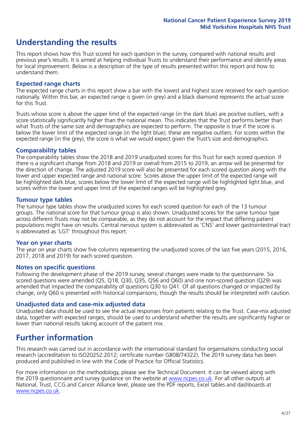# **Understanding the results**

This report shows how this Trust scored for each question in the survey, compared with national results and previous year's results. It is aimed at helping individual Trusts to understand their performance and identify areas for local improvement. Below is a description of the type of results presented within this report and how to understand them.

#### **Expected range charts**

The expected range charts in this report show a bar with the lowest and highest score received for each question nationally. Within this bar, an expected range is given (in grey) and a black diamond represents the actual score for this Trust.

Trusts whose score is above the upper limit of the expected range (in the dark blue) are positive outliers, with a score statistically significantly higher than the national mean. This indicates that the Trust performs better than what Trusts of the same size and demographics are expected to perform. The opposite is true if the score is below the lower limit of the expected range (in the light blue); these are negative outliers. For scores within the expected range (in the grey), the score is what we would expect given the Trust's size and demographics.

#### **Comparability tables**

The comparability tables show the 2018 and 2019 unadjusted scores for this Trust for each scored question. If there is a significant change from 2018 and 2019 or overall from 2015 to 2019, an arrow will be presented for the direction of change. The adjusted 2019 score will also be presented for each scored question along with the lower and upper expected range and national score. Scores above the upper limit of the expected range will be highlighted dark blue, scores below the lower limit of the expected range will be highlighted light blue, and scores within the lower and upper limit of the expected ranges will be highlighted grey.

#### **Tumour type tables**

The tumour type tables show the unadjusted scores for each scored question for each of the 13 tumour groups. The national score for that tumour group is also shown. Unadjusted scores for the same tumour type across different Trusts may not be comparable, as they do not account for the impact that differing patient populations might have on results. Central nervous system is abbreviated as 'CNS' and lower gastrointestinal tract is abbreviated as 'LGT' throughout this report.

#### **Year on year charts**

The year on year charts show five columns representing the unadjusted scores of the last five years (2015, 2016, 2017, 2018 and 2019) for each scored question.

#### **Notes on specific questions**

Following the development phase of the 2019 survey, several changes were made to the questionnaire. Six scored questions were amended (Q5, Q18, Q30, Q35, Q56 and Q60) and one non-scored question (Q29) was amended that impacted the comparability of questions Q30 to Q41. Of all questions changed or impacted by change, only Q60 is presented with historical comparisons; though the results should be interpreted with caution.

#### **Unadjusted data and case-mix adjusted data**

Unadjusted data should be used to see the actual responses from patients relating to the Trust. Case-mix adjusted data, together with expected ranges, should be used to understand whether the results are significantly higher or lower than national results taking account of the patient mix.

### **Further information**

This research was carried out in accordance with the international standard for organisations conducting social research (accreditation to ISO20252:2012; certificate number GB08/74322). The 2019 survey data has been produced and published in line with the Code of Practice for Official Statistics.

For more information on the methodology, please see the Technical Document. It can be viewed along with the 2019 questionnaire and survey quidance on the website at [www.ncpes.co.uk](https://www.ncpes.co.uk/supporting-documents). For all other outputs at National, Trust, CCG and Cancer Alliance level, please see the PDF reports, Excel tables and dashboards at [www.ncpes.co.uk.](https://www.ncpes.co.uk/current-results)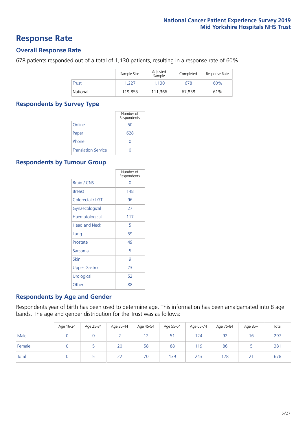### **Response Rate**

#### **Overall Response Rate**

678 patients responded out of a total of 1,130 patients, resulting in a response rate of 60%.

|          | Sample Size | Adjusted<br>Sample | Completed | Response Rate |
|----------|-------------|--------------------|-----------|---------------|
| Trust    | 1.227       | 1.130              | 678       | 60%           |
| National | 119.855     | 111.366            | 67.858    | 61%           |

#### **Respondents by Survey Type**

|                            | Number of<br>Respondents |
|----------------------------|--------------------------|
| Online                     | 50                       |
| Paper                      | 628                      |
| Phone                      |                          |
| <b>Translation Service</b> |                          |

#### **Respondents by Tumour Group**

|                      | Number of<br>Respondents |
|----------------------|--------------------------|
| <b>Brain / CNS</b>   | ∩                        |
| <b>Breast</b>        | 148                      |
| Colorectal / LGT     | 96                       |
| Gynaecological       | 27                       |
| Haematological       | 117                      |
| <b>Head and Neck</b> | 5                        |
| Lung                 | 59                       |
| Prostate             | 49                       |
| Sarcoma              | 5                        |
| Skin                 | 9                        |
| Upper Gastro         | 23                       |
| Urological           | 52                       |
| Other                | 88                       |

#### **Respondents by Age and Gender**

Respondents year of birth has been used to determine age. This information has been amalgamated into 8 age bands. The age and gender distribution for the Trust was as follows:

|        | Age 16-24 | Age 25-34 | Age 35-44 | Age 45-54 | Age 55-64 | Age 65-74 | Age 75-84 | Age 85+         | Total |
|--------|-----------|-----------|-----------|-----------|-----------|-----------|-----------|-----------------|-------|
| Male   |           |           |           | 12        | 51        | 124       | 92        | 16              | 297   |
| Female |           |           | 20        | 58        | 88        | 119       | 86        |                 | 381   |
| Total  |           |           | 22        | 70        | 139       | 243       | 178       | $\bigcap$<br>ΖI | 678   |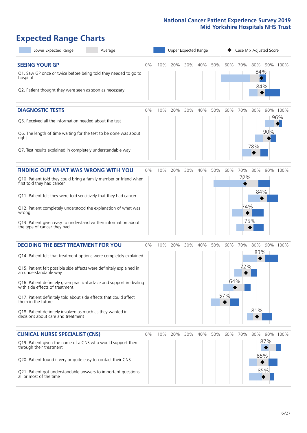# **Expected Range Charts**

| Lower Expected Range<br>Average                                                                                                                                                                                                                                                                                                                                                                                                                                                                                             |    |     | Upper Expected Range |     |     |     | Case Mix Adjusted Score |                   |                          |                        |  |
|-----------------------------------------------------------------------------------------------------------------------------------------------------------------------------------------------------------------------------------------------------------------------------------------------------------------------------------------------------------------------------------------------------------------------------------------------------------------------------------------------------------------------------|----|-----|----------------------|-----|-----|-----|-------------------------|-------------------|--------------------------|------------------------|--|
| <b>SEEING YOUR GP</b><br>Q1. Saw GP once or twice before being told they needed to go to<br>hospital<br>Q2. Patient thought they were seen as soon as necessary                                                                                                                                                                                                                                                                                                                                                             | 0% | 10% | 20%                  | 30% | 40% | 50% | 60%                     | 70%               | 80%<br>84%<br>84%        | 90% 100%               |  |
| <b>DIAGNOSTIC TESTS</b><br>Q5. Received all the information needed about the test<br>Q6. The length of time waiting for the test to be done was about<br>right<br>Q7. Test results explained in completely understandable way                                                                                                                                                                                                                                                                                               | 0% | 10% | 20%                  | 30% | 40% | 50% | 60%                     | 70%               | 80%<br>78%               | 90% 100%<br>96%<br>90% |  |
| <b>FINDING OUT WHAT WAS WRONG WITH YOU</b><br>Q10. Patient told they could bring a family member or friend when<br>first told they had cancer<br>Q11. Patient felt they were told sensitively that they had cancer<br>Q12. Patient completely understood the explanation of what was<br>wrong<br>Q13. Patient given easy to understand written information about<br>the type of cancer they had                                                                                                                             | 0% | 10% | 20%                  | 30% | 40% | 50% | 60%                     | 70%<br>72%<br>74% | 80%<br>84%<br>75%        | 90% 100%               |  |
| <b>DECIDING THE BEST TREATMENT FOR YOU</b><br>Q14. Patient felt that treatment options were completely explained<br>Q15. Patient felt possible side effects were definitely explained in<br>an understandable way<br>Q16. Patient definitely given practical advice and support in dealing<br>with side effects of treatment<br>Q17. Patient definitely told about side effects that could affect<br>them in the future<br>Q18. Patient definitely involved as much as they wanted in<br>decisions about care and treatment | 0% | 10% | 20%                  | 30% | 40% | 50% | 60%<br>64%<br>57%       | 70%<br>72%        | 80%<br>83%  <br>81%      | 90% 100%               |  |
| <b>CLINICAL NURSE SPECIALIST (CNS)</b><br>Q19. Patient given the name of a CNS who would support them<br>through their treatment<br>Q20. Patient found it very or quite easy to contact their CNS<br>Q21. Patient got understandable answers to important questions<br>all or most of the time                                                                                                                                                                                                                              | 0% | 10% | 20%                  | 30% | 40% | 50% | 60%                     | 70%               | 80%<br>87%<br>85%<br>85% | 90%<br>100%            |  |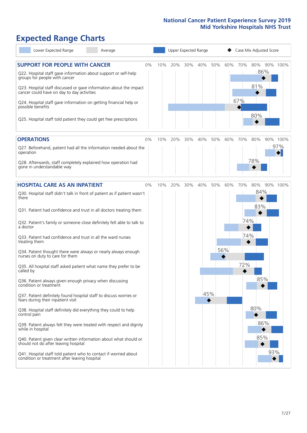# **Expected Range Charts**

| Lower Expected Range<br>Average                                                                                   |     | Upper Expected Range |     |     |     |     |     | Case Mix Adjusted Score |          |  |  |  |
|-------------------------------------------------------------------------------------------------------------------|-----|----------------------|-----|-----|-----|-----|-----|-------------------------|----------|--|--|--|
| <b>SUPPORT FOR PEOPLE WITH CANCER</b><br>0%                                                                       | 10% | 20%                  | 30% | 40% | 50% | 60% | 70% | 80%                     | 90% 100% |  |  |  |
| Q22. Hospital staff gave information about support or self-help<br>groups for people with cancer                  |     |                      |     |     |     |     |     | 86%                     |          |  |  |  |
| Q23. Hospital staff discussed or gave information about the impact<br>cancer could have on day to day activities  |     |                      |     |     |     |     |     | 81%                     |          |  |  |  |
| Q24. Hospital staff gave information on getting financial help or<br>possible benefits                            |     |                      |     |     |     |     | 67% |                         |          |  |  |  |
| Q25. Hospital staff told patient they could get free prescriptions                                                |     |                      |     |     |     |     |     | 80%                     |          |  |  |  |
| <b>OPERATIONS</b><br>0%                                                                                           | 10% | 20%                  | 30% | 40% | 50% | 60% | 70% | 80%                     | 90% 100% |  |  |  |
| Q27. Beforehand, patient had all the information needed about the<br>operation                                    |     |                      |     |     |     |     |     |                         | 97%      |  |  |  |
| Q28. Afterwards, staff completely explained how operation had<br>gone in understandable way                       |     |                      |     |     |     |     |     | 78%                     |          |  |  |  |
| <b>HOSPITAL CARE AS AN INPATIENT</b><br>0%                                                                        | 10% | 20%                  | 30% | 40% | 50% | 60% | 70% | 80%                     | 90% 100% |  |  |  |
| Q30. Hospital staff didn't talk in front of patient as if patient wasn't<br>there                                 |     |                      |     |     |     |     |     | 84%                     |          |  |  |  |
| Q31. Patient had confidence and trust in all doctors treating them                                                |     |                      |     |     |     |     |     | 83%                     |          |  |  |  |
| Q32. Patient's family or someone close definitely felt able to talk to<br>a doctor                                |     |                      |     |     |     |     | 74% |                         |          |  |  |  |
| Q33. Patient had confidence and trust in all the ward nurses<br>treating them                                     |     |                      |     |     |     |     | 74% |                         |          |  |  |  |
| Q34. Patient thought there were always or nearly always enough<br>nurses on duty to care for them                 |     |                      |     |     |     | 56% |     |                         |          |  |  |  |
| Q35. All hospital staff asked patient what name they prefer to be<br>called by                                    |     |                      |     |     |     |     | 72% |                         |          |  |  |  |
| Q36. Patient always given enough privacy when discussing<br>condition or treatment                                |     |                      |     |     |     |     |     | 85%                     |          |  |  |  |
| Q37. Patient definitely found hospital staff to discuss worries or<br>fears during their inpatient visit          |     |                      |     | 45% |     |     |     |                         |          |  |  |  |
| Q38. Hospital staff definitely did everything they could to help<br>control pain                                  |     |                      |     |     |     |     |     | 80%                     |          |  |  |  |
| Q39. Patient always felt they were treated with respect and dignity<br>while in hospital                          |     |                      |     |     |     |     |     | 86%                     |          |  |  |  |
| Q40. Patient given clear written information about what should or<br>should not do after leaving hospital         |     |                      |     |     |     |     |     | 85%                     |          |  |  |  |
| Q41. Hospital staff told patient who to contact if worried about<br>condition or treatment after leaving hospital |     |                      |     |     |     |     |     |                         | 93%      |  |  |  |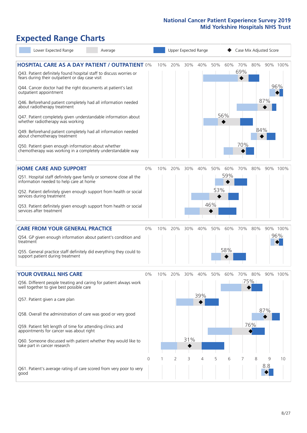# **Expected Range Charts**

|           | Lower Expected Range                                                                                                                                    | Average                                                                                                                                                                                                                                                         |    |     |     |        | Upper Expected Range |            |            | Case Mix Adjusted Score |       |     |                 |
|-----------|---------------------------------------------------------------------------------------------------------------------------------------------------------|-----------------------------------------------------------------------------------------------------------------------------------------------------------------------------------------------------------------------------------------------------------------|----|-----|-----|--------|----------------------|------------|------------|-------------------------|-------|-----|-----------------|
|           | fears during their outpatient or day case visit<br>Q44. Cancer doctor had the right documents at patient's last<br>outpatient appointment               | <b>HOSPITAL CARE AS A DAY PATIENT / OUTPATIENT 0%</b><br>Q43. Patient definitely found hospital staff to discuss worries or                                                                                                                                     |    | 10% | 20% | $30\%$ | 40%                  | 50%        | 60%        | 70%<br>69%              | 80%   | 87% | 90% 100%<br>96% |
|           | about radiotherapy treatment<br>whether radiotherapy was working<br>about chemotherapy treatment<br>Q50. Patient given enough information about whether | Q46. Beforehand patient completely had all information needed<br>Q47. Patient completely given understandable information about<br>Q49. Beforehand patient completely had all information needed<br>chemotherapy was working in a completely understandable way |    |     |     |        |                      |            | 56%        | 70%                     | 84%   |     |                 |
|           |                                                                                                                                                         |                                                                                                                                                                                                                                                                 |    |     |     |        |                      |            |            |                         |       |     |                 |
|           | <b>HOME CARE AND SUPPORT</b><br>information needed to help care at home<br>services during treatment                                                    | Q51. Hospital staff definitely gave family or someone close all the<br>Q52. Patient definitely given enough support from health or social                                                                                                                       | 0% | 10% | 20% | 30%    | 40%                  | 50%<br>53% | 60%<br>59% | 70%                     | 80%   |     | 90% 100%        |
|           | services after treatment                                                                                                                                | Q53. Patient definitely given enough support from health or social                                                                                                                                                                                              |    |     |     |        |                      | 46%        |            |                         |       |     |                 |
|           | <b>CARE FROM YOUR GENERAL PRACTICE</b>                                                                                                                  |                                                                                                                                                                                                                                                                 | 0% | 10% | 20% | 30%    | 40%                  | 50%        | 60%        | 70%                     | 80%   |     | 90% 100%        |
| treatment |                                                                                                                                                         | Q54. GP given enough information about patient's condition and<br>Q55. General practice staff definitely did everything they could to                                                                                                                           |    |     |     |        |                      |            | 58%        |                         |       |     | 96%             |
|           | support patient during treatment                                                                                                                        |                                                                                                                                                                                                                                                                 |    |     |     |        |                      |            |            |                         |       |     |                 |
|           | <b>YOUR OVERALL NHS CARE</b>                                                                                                                            |                                                                                                                                                                                                                                                                 | 0% | 10% | 20% | 30%    | 40%                  | 50%        | 60%        | 70%                     | 80%   |     | 90% 100%        |
|           | well together to give best possible care                                                                                                                | Q56. Different people treating and caring for patient always work                                                                                                                                                                                               |    |     |     |        | 39%                  |            |            |                         | 175%∣ |     |                 |
|           | Q57. Patient given a care plan                                                                                                                          |                                                                                                                                                                                                                                                                 |    |     |     |        |                      |            |            |                         |       | 87% |                 |
|           |                                                                                                                                                         | Q58. Overall the administration of care was good or very good                                                                                                                                                                                                   |    |     |     |        |                      |            |            |                         |       |     |                 |
|           | Q59. Patient felt length of time for attending clinics and<br>appointments for cancer was about right                                                   |                                                                                                                                                                                                                                                                 |    |     |     |        |                      |            |            |                         | 76%   |     |                 |
|           | take part in cancer research                                                                                                                            | Q60. Someone discussed with patient whether they would like to                                                                                                                                                                                                  |    |     |     | 31%    |                      |            |            |                         |       |     |                 |
|           |                                                                                                                                                         |                                                                                                                                                                                                                                                                 | 0  |     | 2   | 3      | 4                    | 5          | 6          |                         | 8     | 9   | 10              |
| good      |                                                                                                                                                         | Q61. Patient's average rating of care scored from very poor to very                                                                                                                                                                                             |    |     |     |        |                      |            |            |                         |       | 8.8 |                 |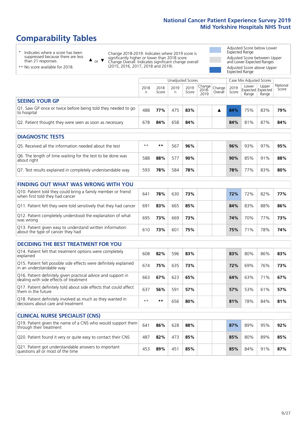# **Comparability Tables**

\* Indicates where a score has been suppressed because there are less than 21 responses.

\*\* No score available for 2018.

 $\triangle$  or  $\nabla$ 

Change 2018-2019: Indicates where 2019 score is significantly higher or lower than 2018 score Change Overall: Indicates significant change overall (2015, 2016, 2017, 2018 and 2019).

Adjusted Score below Lower Expected Range Adjusted Score between Upper and Lower Expected Ranges Adjusted Score above Upper Expected Range

|                                                                             |           |               | Unadjusted Scores |               |                                                    |         |               | Case Mix Adjusted Scores            |                |                   |
|-----------------------------------------------------------------------------|-----------|---------------|-------------------|---------------|----------------------------------------------------|---------|---------------|-------------------------------------|----------------|-------------------|
|                                                                             | 2018<br>n | 2018<br>Score | 2019<br>n         | 2019<br>Score | $\sqrt{(\text{Change})^2}$ Change<br>2018-<br>2019 | Overall | 2019<br>Score | Lower<br>Expected Expected<br>Range | Upper<br>Range | National<br>Score |
| <b>SEEING YOUR GP</b>                                                       |           |               |                   |               |                                                    |         |               |                                     |                |                   |
| Q1. Saw GP once or twice before being told they needed to go<br>to hospital | 488       | 77%           | 475               | 83%           |                                                    |         | 84%           | 75%                                 | 83%            | 79%               |
| Q2. Patient thought they were seen as soon as necessary                     | 678       | 84%           | 658               | 84%           |                                                    |         | 84%           | 81%                                 | 87%            | 84%               |
| <b>DIAGNOSTIC TESTS</b>                                                     |           |               |                   |               |                                                    |         |               |                                     |                |                   |

| O5. Received all the information needed about the test                    | $**$ | **  | 567 | 96% |  | 96% | 93% | 97% | 95% |
|---------------------------------------------------------------------------|------|-----|-----|-----|--|-----|-----|-----|-----|
| Q6. The length of time waiting for the test to be done was<br>about right | 588  | 88% | 577 | 90% |  | 90% | 85% | 91% | 88% |
| Q7. Test results explained in completely understandable way               | 593  | 78% | 584 | 78% |  | 78% | 77% | 83% | 80% |

| <b>FINDING OUT WHAT WAS WRONG WITH YOU</b>                                                      |     |     |     |     |     |     |     |     |
|-------------------------------------------------------------------------------------------------|-----|-----|-----|-----|-----|-----|-----|-----|
| Q10. Patient told they could bring a family member or friend<br>when first told they had cancer | 641 | 78% | 630 | 73% | 72% | 72% | 82% | 77% |
| Q11. Patient felt they were told sensitively that they had cancer                               | 691 | 83% | 665 | 85% | 84% | 83% | 88% | 86% |
| Q12. Patient completely understood the explanation of what<br>was wrong                         | 695 | 73% | 669 | 73% | 74% | 70% | 77% | 73% |
| Q13. Patient given easy to understand written information<br>about the type of cancer they had  | 610 | 73% | 601 | 75% | 75% | 71% | 78% | 74% |

| <b>DECIDING THE BEST TREATMENT FOR YOU</b>                                                              |      |      |     |     |     |     |     |     |
|---------------------------------------------------------------------------------------------------------|------|------|-----|-----|-----|-----|-----|-----|
| Q14. Patient felt that treatment options were completely<br>explained                                   | 608  | 82%  | 596 | 83% | 83% | 80% | 86% | 83% |
| Q15. Patient felt possible side effects were definitely explained<br>In an understandable way           | 674  | 75%  | 635 | 73% | 72% | 69% | 76% | 73% |
| Q16. Patient definitely given practical advice and support in<br>dealing with side effects of treatment | 663  | 67%  | 623 | 65% | 64% | 63% | 71% | 67% |
| Q17. Patient definitely told about side effects that could affect<br>them in the future                 | 637  | 56%  | 591 | 57% | 57% | 53% | 61% | 57% |
| Q18. Patient definitely involved as much as they wanted in<br>decisions about care and treatment        | $**$ | $**$ | 656 | 80% | 81% | 78% | 84% | 81% |

| <b>CLINICAL NURSE SPECIALIST (CNS)</b>                                                    |     |     |     |     |     |     |     |     |
|-------------------------------------------------------------------------------------------|-----|-----|-----|-----|-----|-----|-----|-----|
| Q19. Patient given the name of a CNS who would support them<br>through their treatment    | 641 | 86% | 628 | 88% | 87% | 89% | 95% | 92% |
| Q20. Patient found it very or quite easy to contact their CNS                             | 487 | 82% | 473 | 85% | 85% | 80% | 89% | 85% |
| Q21. Patient got understandable answers to important<br>questions all or most of the time | 453 | 89% | 451 | 85% | 85% | 84% | 91% | 87% |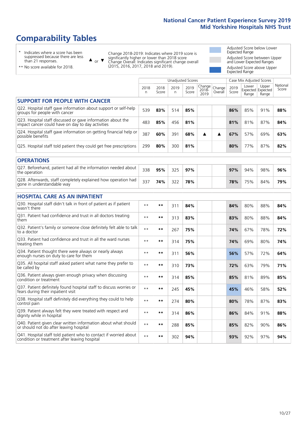# **Comparability Tables**

\* Indicates where a score has been suppressed because there are less than 21 responses.

\*\* No score available for 2018.

 $\triangle$  or  $\nabla$ 

Change 2018-2019: Indicates where 2019 score is significantly higher or lower than 2018 score Change Overall: Indicates significant change overall (2015, 2016, 2017, 2018 and 2019).

Adjusted Score below Lower Expected Range Adjusted Score between Upper and Lower Expected Ranges Adjusted Score above Upper Expected Range

|                                                                                                                   |              |               |            | <b>Unadjusted Scores</b> |                            |                   |               | Case Mix Adjusted Scores            |                |                   |
|-------------------------------------------------------------------------------------------------------------------|--------------|---------------|------------|--------------------------|----------------------------|-------------------|---------------|-------------------------------------|----------------|-------------------|
|                                                                                                                   | 2018<br>n    | 2018<br>Score | 2019<br>n. | 2019<br>Score            | Change<br>$2018 -$<br>2019 | Change<br>Overall | 2019<br>Score | Lower<br>Expected Expected<br>Range | Upper<br>Range | National<br>Score |
| <b>SUPPORT FOR PEOPLE WITH CANCER</b>                                                                             |              |               |            |                          |                            |                   |               |                                     |                |                   |
| Q22. Hospital staff gave information about support or self-help<br>groups for people with cancer                  | 539          | 83%           | 514        | 85%                      |                            |                   | 86%           | 85%                                 | 91%            | 88%               |
| Q23. Hospital staff discussed or gave information about the<br>impact cancer could have on day to day activities  | 483          | 85%           | 456        | 81%                      |                            |                   | 81%           | 81%                                 | 87%            | 84%               |
| Q24. Hospital staff gave information on getting financial help or<br>possible benefits                            | 387          | 60%           | 391        | 68%                      | ▲                          | ▲                 | 67%           | 57%                                 | 69%            | 63%               |
| Q25. Hospital staff told patient they could get free prescriptions                                                | 299          | 80%           | 300        | 81%                      |                            |                   | 80%           | 77%                                 | 87%            | 82%               |
| <b>OPERATIONS</b>                                                                                                 |              |               |            |                          |                            |                   |               |                                     |                |                   |
| Q27. Beforehand, patient had all the information needed about<br>the operation                                    | 338          | 95%           | 325        | 97%                      |                            |                   | 97%           | 94%                                 | 98%            | 96%               |
| Q28. Afterwards, staff completely explained how operation had<br>gone in understandable way                       | 337          | 74%           | 322        | 78%                      |                            |                   | 78%           | 75%                                 | 84%            | 79%               |
| <b>HOSPITAL CARE AS AN INPATIENT</b>                                                                              |              |               |            |                          |                            |                   |               |                                     |                |                   |
| Q30. Hospital staff didn't talk in front of patient as if patient<br>wasn't there                                 | $**$         | $***$         | 311        | 84%                      |                            |                   | 84%           | 80%                                 | 88%            | 84%               |
| Q31. Patient had confidence and trust in all doctors treating<br>them                                             | $* *$        | $***$         | 313        | 83%                      |                            |                   | 83%           | 80%                                 | 88%            | 84%               |
| Q32. Patient's family or someone close definitely felt able to talk<br>to a doctor                                | $* *$        | **            | 267        | 75%                      |                            |                   | 74%           | 67%                                 | 78%            | 72%               |
| O33. Patient had confidence and trust in all the ward nurses<br>treating them                                     | $**$         | $***$         | 314        | 75%                      |                            |                   | 74%           | 69%                                 | 80%            | 74%               |
| Q34. Patient thought there were always or nearly always<br>enough nurses on duty to care for them                 | $\star\star$ | $***$         | 311        | 56%                      |                            |                   | 56%           | 57%                                 | 72%            | 64%               |
| Q35. All hospital staff asked patient what name they prefer to<br>be called by                                    | $**$         | $***$         | 310        | 73%                      |                            |                   | 72%           | 63%                                 | 79%            | 71%               |
| Q36. Patient always given enough privacy when discussing<br>condition or treatment                                | $\star\star$ | $***$         | 314        | 85%                      |                            |                   | 85%           | 81%                                 | 89%            | 85%               |
| Q37. Patient definitely found hospital staff to discuss worries or<br>fears during their inpatient visit          | $* *$        | $***$         | 245        | 45%                      |                            |                   | 45%           | 46%                                 | 58%            | 52%               |
| Q38. Hospital staff definitely did everything they could to help<br>control pain                                  | $**$         | $***$         | 274        | 80%                      |                            |                   | 80%           | 78%                                 | 87%            | 83%               |
| Q39. Patient always felt they were treated with respect and<br>dignity while in hospital                          | $**$         | $***$         | 314        | 86%                      |                            |                   | 86%           | 84%                                 | 91%            | 88%               |
| Q40. Patient given clear written information about what should<br>or should not do after leaving hospital         | $\star\star$ | $***$         | 288        | 85%                      |                            |                   | 85%           | 82%                                 | 90%            | 86%               |
| Q41. Hospital staff told patient who to contact if worried about<br>condition or treatment after leaving hospital | $**$         | $***$         | 302        | 94%                      |                            |                   | 93%           | 92%                                 | 97%            | 94%               |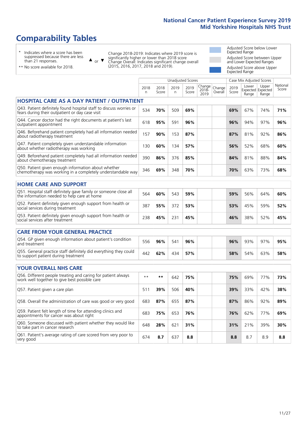# **Comparability Tables**

\* Indicates where a score has been suppressed because there are less than 21 responses.

\*\* No score available for 2018.

 $\triangle$  or  $\nabla$ 

Change 2018-2019: Indicates where 2019 score is significantly higher or lower than 2018 score Change Overall: Indicates significant change overall (2015, 2016, 2017, 2018 and 2019).

Adjusted Score below Lower Expected Range Adjusted Score between Upper and Lower Expected Ranges Adjusted Score above Upper Expected Range

|                                                                                                                       |           |               |            | Unadjusted Scores |                         |                   |               | Case Mix Adjusted Scores |                                     |                   |
|-----------------------------------------------------------------------------------------------------------------------|-----------|---------------|------------|-------------------|-------------------------|-------------------|---------------|--------------------------|-------------------------------------|-------------------|
|                                                                                                                       | 2018<br>n | 2018<br>Score | 2019<br>n. | 2019<br>Score     | Change<br>2018-<br>2019 | Change<br>Overall | 2019<br>Score | Lower<br>Range           | Upper<br>Expected Expected<br>Range | National<br>Score |
| <b>HOSPITAL CARE AS A DAY PATIENT / OUTPATIENT</b>                                                                    |           |               |            |                   |                         |                   |               |                          |                                     |                   |
| Q43. Patient definitely found hospital staff to discuss worries or<br>fears during their outpatient or day case visit | 534       | 70%           | 509        | 69%               |                         |                   | 69%           | 67%                      | 74%                                 | 71%               |
| Q44. Cancer doctor had the right documents at patient's last<br>outpatient appointment                                | 618       | 95%           | 591        | 96%               |                         |                   | 96%           | 94%                      | 97%                                 | 96%               |
| Q46. Beforehand patient completely had all information needed<br>about radiotherapy treatment                         | 157       | 90%           | 153        | 87%               |                         |                   | 87%           | 81%                      | 92%                                 | 86%               |
| Q47. Patient completely given understandable information<br>about whether radiotherapy was working                    | 130       | 60%           | 134        | 57%               |                         |                   | 56%           | 52%                      | 68%                                 | 60%               |
| Q49. Beforehand patient completely had all information needed<br>about chemotherapy treatment                         | 390       | 86%           | 376        | 85%               |                         |                   | 84%           | 81%                      | 88%                                 | 84%               |
| Q50. Patient given enough information about whether<br>chemotherapy was working in a completely understandable way    | 346       | 69%           | 348        | 70%               |                         |                   | 70%           | 63%                      | 73%                                 | 68%               |
| <b>HOME CARE AND SUPPORT</b>                                                                                          |           |               |            |                   |                         |                   |               |                          |                                     |                   |
| Q51. Hospital staff definitely gave family or someone close all<br>the information needed to help care at home        | 564       | 60%           | 543        | 59%               |                         |                   | 59%           | 56%                      | 64%                                 | 60%               |
| Q52. Patient definitely given enough support from health or<br>social services during treatment                       | 387       | 55%           | 372        | 53%               |                         |                   | 53%           | 45%                      | 59%                                 | 52%               |
| Q53. Patient definitely given enough support from health or<br>social services after treatment                        | 238       | 45%           | 231        | 45%               |                         |                   | 46%           | 38%                      | 52%                                 | 45%               |
| <b>CARE FROM YOUR GENERAL PRACTICE</b>                                                                                |           |               |            |                   |                         |                   |               |                          |                                     |                   |
| Q54. GP given enough information about patient's condition<br>and treatment                                           | 556       | 96%           | 541        | 96%               |                         |                   | 96%           | 93%                      | 97%                                 | 95%               |
| Q55. General practice staff definitely did everything they could<br>to support patient during treatment               | 442       | 62%           | 434        | 57%               |                         |                   | 58%           | 54%                      | 63%                                 | 58%               |
| <b>YOUR OVERALL NHS CARE</b>                                                                                          |           |               |            |                   |                         |                   |               |                          |                                     |                   |
| Q56. Different people treating and caring for patient always<br>work well together to give best possible care         | $* *$     | $***$         | 642        | 75%               |                         |                   | 75%           | 69%                      | 77%                                 | 73%               |
| Q57. Patient given a care plan                                                                                        | 511       | 39%           | 506        | 40%               |                         |                   | 39%           | 33%                      | 42%                                 | 38%               |
| Q58. Overall the administration of care was good or very good                                                         | 683       | 87%           | 655        | 87%               |                         |                   | 87%           | 86%                      | 92%                                 | 89%               |
| Q59. Patient felt length of time for attending clinics and<br>appointments for cancer was about right                 | 683       | 75%           | 653        | 76%               |                         |                   | 76%           | 62%                      | 77%                                 | 69%               |
| Q60. Someone discussed with patient whether they would like<br>to take part in cancer research                        | 648       | 28%           | 621        | 31%               |                         |                   | 31%           | 21%                      | 39%                                 | 30%               |
| Q61. Patient's average rating of care scored from very poor to<br>very good                                           | 674       | 8.7           | 637        | 8.8               |                         |                   | 8.8           | 8.7                      | 8.9                                 | 8.8               |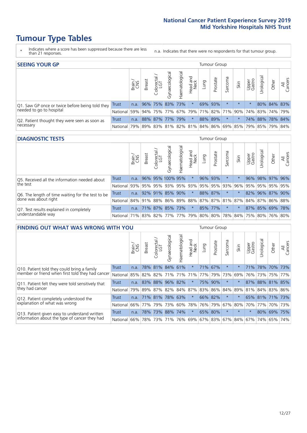- \* Indicates where a score has been suppressed because there are less than 21 responses.
- n.a. Indicates that there were no respondents for that tumour group.

| <b>SEEING YOUR GP</b>                           |          |              |                      |                   |                |                |                  |             | Tumour Group |         |                                                         |                 |                 |             |                |
|-------------------------------------------------|----------|--------------|----------------------|-------------------|----------------|----------------|------------------|-------------|--------------|---------|---------------------------------------------------------|-----------------|-----------------|-------------|----------------|
|                                                 |          | Brain<br>CNS | <b>Breast</b>        | Colorectal<br>LGT | Gynaecological | Haematological | Head and<br>Neck | <b>Dung</b> | Prostate     | Sarcoma | Skin                                                    | Upper<br>Gastro | Urological      | Other       | All<br>Cancers |
| Q1. Saw GP once or twice before being told they | Trust    |              | n.a. 96% 75% 83% 73% |                   |                |                | $\star$          |             | 69% 93%      |         | $\star$                                                 |                 |                 | 80% 84% 83% |                |
| needed to go to hospital                        | National |              | 59% 94% 75% 77%      |                   |                |                |                  |             |              |         | 67% 79% 71% 82% 71% 90% 74% 83% 74% 79%                 |                 |                 |             |                |
| Q2. Patient thought they were seen as soon as   | Trust    | n.a.         |                      | 88% 87% 77% 79%   |                |                | $\star$          |             | 88% 89%      | $\star$ |                                                         |                 | 74% 88% 78% 84% |             |                |
| necessary                                       | National |              |                      |                   |                |                |                  |             |              |         | 79% 89% 83% 81% 82% 81% 84% 86% 69% 85% 79% 85% 79% 84% |                 |                 |             |                |

#### **DIAGNOSTIC TESTS** Tumour Group

|                                                   |                                                                  | Brain | <b>Breast</b> | Colorectal<br>LGT | त्त<br>Gynaecologic | Haematological | Head and<br>Neck    | Lung | Prostate | Sarcoma | Skin | Upper<br>Gastro | rological                                               | Other       | All<br>Cancers |
|---------------------------------------------------|------------------------------------------------------------------|-------|---------------|-------------------|---------------------|----------------|---------------------|------|----------|---------|------|-----------------|---------------------------------------------------------|-------------|----------------|
| Q5. Received all the information needed about     | <b>Trust</b>                                                     | n.a.  |               |                   | 96% 95% 100% 95%    |                | $\star$             |      | 96% 93%  |         |      | 96%             |                                                         | 98% 97% 96% |                |
| the test                                          | National                                                         | 93%   |               | 95% 95%           |                     |                | 93% 95% 93% 95% 95% |      |          | 93%     | 96%  |                 | 95% 95% 95% 95%                                         |             |                |
| Q6. The length of time waiting for the test to be | Trust                                                            | n.a.  |               |                   | 92% 91% 85% 90%     |                | $\star$             |      | 88% 87%  |         |      |                 | 82% 96% 87% 90%                                         |             |                |
| done was about right                              | National                                                         |       |               |                   |                     |                |                     |      |          |         |      |                 | 84% 91% 88% 86% 89% 88% 87% 87% 81% 87% 84% 87% 86% 88% |             |                |
| Q7. Test results explained in completely          | Trust                                                            | n.a.  |               |                   | 71% 87% 85% 73%     |                | $\star$             |      | 85% 77%  | $\star$ |      |                 | 87% 85% 69% 78%                                         |             |                |
| understandable way                                | National 71% 83% 82% 77% 77% 79% 80% 80% 78% 84% 75% 80% 76% 80% |       |               |                   |                     |                |                     |      |          |         |      |                 |                                                         |             |                |

| <b>FINDING OUT WHAT WAS WRONG WITH YOU</b>        |              |        |                         |                       |                |               |                  |                         | Tumour Group |         |         |                 |            |                 |                |
|---------------------------------------------------|--------------|--------|-------------------------|-----------------------|----------------|---------------|------------------|-------------------------|--------------|---------|---------|-----------------|------------|-----------------|----------------|
|                                                   |              | Brain  | <b>Breast</b>           | olorectal<br>LGT<br>Ū | Gynaecological | Haematologica | Head and<br>Neck | Lung                    | Prostate     | Sarcoma | Skin    | Upper<br>Gastro | Irological | Other           | All<br>Cancers |
| Q10. Patient told they could bring a family       | <b>Trust</b> | n.a.   |                         | 78% 81%               | 84%            | 61%           | $^\star$         |                         | 71% 67%      | $\ast$  | $\star$ | 71%             | 78%        | 70% 73%         |                |
| member or friend when first told they had cancer  | National     | 85%    | 82% 82%                 |                       | 71%            | 71%           | 71%              | 77%                     | 79%          | 73%     | 69%     | 76%             | 73%        | 75%             | 77%            |
| Q11. Patient felt they were told sensitively that | Trust        | n.a.   | 83%                     | 88%                   | 96%            | 82%           | $\ast$           | 75%                     | 90%          | $\ast$  | $\star$ | 87%             | 88%        | 81%             | 85%            |
| they had cancer                                   | National     |        | 79% 89% 87% 82% 84% 87% |                       |                |               |                  | 83% 86% 84% 89%         |              |         |         |                 |            | 81% 84% 83%     | 86%            |
| Q12. Patient completely understood the            | Trust        | n.a.   | $171\%$ 81%             |                       | 78%            | 63%           | $\star$          | 66% 82%                 |              | $\ast$  | $\star$ |                 |            | 65% 81% 71% 73% |                |
| explanation of what was wrong                     | National     |        | 66% 77%                 | 79%                   | 73%            | 60%           |                  | 78% 76% 79%             |              | 67%     | 80%     | 70%             | 77%        | 70%             | 73%            |
| Q13. Patient given easy to understand written     | Trust        | n.a.   | 78%                     | 73%                   | 88%            | 74%           | $\star$          | 65% 80%                 |              | $\ast$  | $\star$ | $\star$         | 80%        | 69%             | 75%            |
| information about the type of cancer they had     | National     | $66\%$ | 78%                     | 73%                   | 71%            | 76%           |                  | 69% 67% 83% 67% 84% 67% |              |         |         |                 | 74%        | 65%             | 74%            |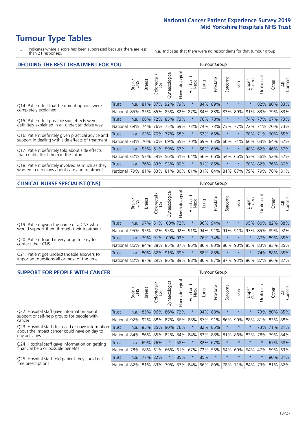\* Indicates where a score has been suppressed because there are less than 21 responses.

n.a. Indicates that there were no respondents for that tumour group.

| <b>DECIDING THE BEST TREATMENT FOR YOU</b>         |          |       |               |                        |                |                |                         |      | <b>Tumour Group</b> | Jrological<br>Sarcoma<br>All<br>Cancers<br>Upper<br>Gastro<br>Other<br>Skin<br>$\star$<br>82% 80%<br>$\star$<br>$\star$<br>83%<br>83%<br>89%<br>81%<br>83% 79% 83%<br>$^\star$<br>74% 77%<br>67%<br>173%<br>73%<br>77%<br>72%<br>70% 73%<br>71%<br>71% 60% 65%<br>$\star$<br>70%<br>63% 64% |         |     |  |                 |     |  |  |
|----------------------------------------------------|----------|-------|---------------|------------------------|----------------|----------------|-------------------------|------|---------------------|---------------------------------------------------------------------------------------------------------------------------------------------------------------------------------------------------------------------------------------------------------------------------------------------|---------|-----|--|-----------------|-----|--|--|
|                                                    |          | Brain | <b>Breast</b> | olorectal.<br>LGT<br>Ū | Gynaecological | Haematological | ead and<br>Neck<br>Head | Lung | Prostate            |                                                                                                                                                                                                                                                                                             |         |     |  |                 |     |  |  |
| Q14. Patient felt that treatment options were      | Trust    | n.a.  |               | 81% 87%                | 92%            | 79%            | $\star$                 | 84%  | 89%                 |                                                                                                                                                                                                                                                                                             |         |     |  |                 |     |  |  |
| completely explained                               | National | 85%   | 85%           |                        | 85% 85%        | 82%            | 87%                     |      | 84% 83%             |                                                                                                                                                                                                                                                                                             |         |     |  |                 |     |  |  |
| Q15. Patient felt possible side effects were       | Trust    | n.a.  | 68%           | 72%                    | 85%            | 73%            | $\star$                 |      | 76% 78%             |                                                                                                                                                                                                                                                                                             |         |     |  |                 |     |  |  |
| definitely explained in an understandable way      | National | 69%   | 74%           | 76%                    | 75%            | 69%            | 73%                     |      | 74% 73%             |                                                                                                                                                                                                                                                                                             |         |     |  |                 |     |  |  |
| Q16. Patient definitely given practical advice and | Trust    | n.a.  | 63%           | 70%                    | 77%            | 58%            | $\star$                 |      | 62% 65%             |                                                                                                                                                                                                                                                                                             |         |     |  |                 |     |  |  |
| support in dealing with side effects of treatment  | National | 63%   | 70%           | 70%                    | 69%            |                | 65% 70%                 |      | 69% 65%             | 66%                                                                                                                                                                                                                                                                                         | 71%     | 66% |  |                 | 67% |  |  |
| Q17. Patient definitely told about side effects    | Trust    | n.a.  |               | 55% 61%                | 59%            | 57%            | $\star$                 | 58%  | 60%                 | $\ast$                                                                                                                                                                                                                                                                                      | $\star$ | 48% |  | 62% 46%         | 57% |  |  |
| that could affect them in the future               | National | 62%   | 57%           | 59%                    | 56%            | 51%            | 64%                     |      | 56% 66%             | 54%                                                                                                                                                                                                                                                                                         | 66%     | 53% |  | 56% 52%         | 57% |  |  |
| Q18. Patient definitely involved as much as they   | Trust    | n.a.  |               |                        | 76% 83% 93%    | 80%            | $\star$                 |      | 81% 85%             | $^\star$                                                                                                                                                                                                                                                                                    | $\ast$  |     |  | 70% 82% 76% 80% |     |  |  |
| wanted in decisions about care and treatment       | National | 79%   |               |                        |                |                |                         |      |                     | 81% 83% 81% 80% 81% 81% 84% 81% 87%                                                                                                                                                                                                                                                         |         | 79% |  | 79% 78% 81%     |     |  |  |

#### **CLINICAL NURSE SPECIALIST (CNS)** Tumour Group

|                                             |              | Brain | <b>Breast</b> | Colorectal<br>LGT | Gynaecological                  | $\overline{\sigma}$<br>Ü<br>aematologi | Head and<br>Neck | Lung    | Prostate | Sarcoma | Skin    | Upper<br>Gastro                                     | ᆕ<br>Irologica | Other       | All<br>Cancers |
|---------------------------------------------|--------------|-------|---------------|-------------------|---------------------------------|----------------------------------------|------------------|---------|----------|---------|---------|-----------------------------------------------------|----------------|-------------|----------------|
| Q19. Patient given the name of a CNS who    | <b>Trust</b> | n.a.  |               |                   | 97% 81% 100% 72%                |                                        | $^\star$         | 96% 94% |          | $\ast$  |         | 95%                                                 |                |             | 80% 82% 88%    |
| would support them through their treatment  | National     |       |               |                   | 95% 95% 92% 95% 92% 91%         |                                        |                  |         |          |         |         | 94% 91% 91% 91% 93% 85% 89%                         |                |             | 92%            |
| Q20. Patient found it very or quite easy to | <b>Trust</b> | n.a.  |               |                   | 79% 91% 100% 93%                |                                        | $\star$          |         | 76% 74%  | $\star$ | $\star$ | $\star$                                             |                | 87% 89% 85% |                |
| contact their CNS                           | National     |       |               |                   | 86% 84% 88% 85% 87% 86% 86% 80% |                                        |                  |         |          |         |         | 86% 90% 85%                                         |                | 83% 83%     | 85%            |
| Q21. Patient got understandable answers to  | Trust        | n.a.  |               |                   | 80% 82% 91%                     | 89%                                    | $\star$          | 88% 85% |          | $\star$ | $\star$ | $\star$                                             |                | 74% 88% 85% |                |
| important questions all or most of the time | National     |       |               |                   | 82% 87% 89% 86%                 |                                        |                  |         |          |         |         | 89%   88%   86%   87%   87%   93%   86%   87%   86% |                |             | 87%            |

| <b>SUPPORT FOR PEOPLE WITH CANCER</b>                                                             |                      |       |               |                        |                |                |                        |      | Tumour Group |          |         |                 |           |         |                |
|---------------------------------------------------------------------------------------------------|----------------------|-------|---------------|------------------------|----------------|----------------|------------------------|------|--------------|----------|---------|-----------------|-----------|---------|----------------|
|                                                                                                   |                      | Brain | <b>Breast</b> | olorectal.<br>LGT<br>Ũ | Gynaecological | Haematological | ad and<br>Neck<br>Head | Lung | Prostate     | Sarcoma  | Skin    | Upper<br>Gastro | Jrologica | Other   | All<br>Cancers |
| Q22. Hospital staff gave information about<br>support or self-help groups for people with         | <b>Trust</b>         | n.a.  | 85%           | 96%                    | 86%            | 72%            | $\ast$                 | 94%  | 88%          | $\star$  | $\star$ | $\star$         | 73%       | 80% 85% |                |
| cancer                                                                                            | National             | 92%   | 92%           | 88%                    | 87%            | 86%            | 88%                    |      | 87% 91%      | 86%      | 90%     | 88%             | 81%       | 83%     | 88%            |
| Q23. Hospital staff discussed or gave information<br>about the impact cancer could have on day to | Trust                | n.a.  |               | 85% 85%                | 90%            | 76%            | $\star$                | 82%  | 85%          | $\star$  | $\star$ | $\star$         |           | 73% 71% | 81%            |
| day activities                                                                                    | National             | 84%   |               | 86% 85%                | 82%            | 84%            | 84%                    |      | 83% 88%      | 81%      | 86%     | 83%             | 78%       | 79%     | 84%            |
| Q24. Hospital staff gave information on getting                                                   | Trust                | n.a.  |               | 69% 76%                | $\star$        | 58%            | $\star$                |      | 82% 67%      | $^\star$ | $\star$ | $\star$         | $\star$   |         | 67% 68%        |
| financial help or possible benefits                                                               | National             | 78%   |               | 68% 61%                | 66%            |                | 61% 67%                |      | 72% 55%      | 64%      | 60%     | 64%             | 47%       | 59%     | 63%            |
| Q25. Hospital staff told patient they could get                                                   | Trust                | n.a.  | 77%           | 82%                    | $\star$        | 85%            | $\ast$                 | 85%  | $\star$      | $\star$  | $\star$ | $\star$         | $^\star$  |         | 80% 81%        |
| free prescriptions                                                                                | National 82% 81% 83% |       |               |                        | 79%            |                | 87% 84% 86% 80%        |      |              |          | 78% 71% | 84%             | 73%       | 81%     | 82%            |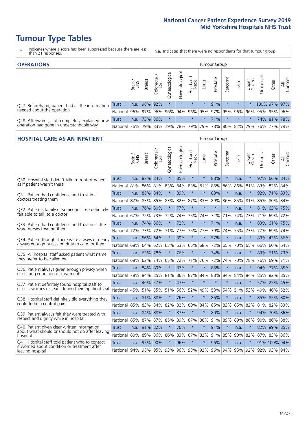- \* Indicates where a score has been suppressed because there are less than 21 responses.
- n.a. Indicates that there were no respondents for that tumour group.

| <b>OPERATIONS</b>                                |              |       |               |                   |                    |                |                  |         | Tumour Group |         |         |                 |                                         |              |                |
|--------------------------------------------------|--------------|-------|---------------|-------------------|--------------------|----------------|------------------|---------|--------------|---------|---------|-----------------|-----------------------------------------|--------------|----------------|
|                                                  |              | Brain | <b>Breast</b> | Colorectal<br>LGT | ᠊ᢛ<br>Gynaecologic | Haematological | Head and<br>Neck | Lung    | Prostate     | Sarcoma | Skin    | Upper<br>Gastro | Urological                              | Other        | All<br>Cancers |
| Q27. Beforehand, patient had all the information | Trust        | n.a.  |               | 98% 92%           | $\star$            | $\star$        | $\star$          | $\star$ | 91%          | $\star$ | $\star$ | $\star$         |                                         | 100% 97% 97% |                |
| needed about the operation                       | National I   | 96%   | 97%           | 96%               | 96%                |                |                  |         |              |         |         |                 | 94% 96% 95% 97% 95% 96% 96% 95% 95% 96% |              |                |
| Q28. Afterwards, staff completely explained how  | <b>Trust</b> | n.a.  | 73% 86%       |                   | $\star$            | $\star$        | $\star$          | $\star$ | 71%          |         | $\star$ | $\star$         |                                         | 74% 81% 78%  |                |
| operation had gone in understandable way         | National I   | 76%   |               | 79% 83%           |                    | 79% 78% 79%    |                  |         |              |         |         |                 | 79% 78% 80% 82% 79% 76% 77%             |              | 79%            |

#### **HOSPITAL CARE AS AN INPATIENT** Tumour Group

|                                                                                                   |              | Brain | Breast       | $\overline{\phantom{0}}$<br>Colorectal /<br>LGT | Gynaecological | Haematological          | Head and<br>Neck | Lung    | Prostate | Sarcoma | Skin | Upper<br>Gastro | Urological | Other               | All<br>Cancers |
|---------------------------------------------------------------------------------------------------|--------------|-------|--------------|-------------------------------------------------|----------------|-------------------------|------------------|---------|----------|---------|------|-----------------|------------|---------------------|----------------|
| Q30. Hospital staff didn't talk in front of patient                                               | <b>Trust</b> | n.a.  | 87%          | 84%                                             | $\star$        | 85%                     | $\star$          | $\star$ | 88%      | $\star$ | n.a. | $\star$         | 92%        | 66% 84%             |                |
| as if patient wasn't there                                                                        | National     | 81%   | 86%          | 81%                                             | 83%            | 84%                     | 83%              | 81%     | 88%      | 86%     | 86%  | 81%             | 83%        | 82%                 | 84%            |
| O31. Patient had confidence and trust in all<br>doctors treating them                             | Trust        | n.a.  | 85% 84%      |                                                 |                | 89%                     | $\star$          | $\star$ | 88%      | $\star$ | n.a. |                 | 92%        | 71% 83%             |                |
|                                                                                                   | National     | 82%   | 83%          | 85%                                             | 83%            | 82%                     |                  | 87% 83% | 89%      | 86%     | 85%  | 81%             | 85%        | 80% 84%             |                |
| Q32. Patient's family or someone close definitely                                                 | <b>Trust</b> | n.a.  | 76%          | 80%                                             |                | 77%                     | $\star$          | $\star$ | $\star$  | $\star$ | n.a. |                 |            | 81% 63%             | 75%            |
| felt able to talk to a doctor                                                                     | National     | 67%   | 72%          | 73%                                             | 72%            | 74%                     | 75%              | 74%     | 72%      | 71%     | 74%  | 73%             | 71%        | 69%                 | 72%            |
| Q33. Patient had confidence and trust in all the<br>ward nurses treating them                     | <b>Trust</b> | n.a.  | 74%          | 86%                                             | $\star$        | 72%                     | $\star$          | $\star$ | 71%      | $\star$ | n.a. | $\star$         |            | 83% 61% 75%         |                |
|                                                                                                   | National     | 72%   | 73%          | 72%                                             | 71%            | 77%                     |                  | 75% 77% | 79%      | 74%     | 75%  | 73%             | 77%        | 69% 74%             |                |
| Q34. Patient thought there were always or nearly<br>always enough nurses on duty to care for them | Trust        | n.a.  | 56% 64%      |                                                 | $\star$        | 39%                     | $\star$          | $\star$ | 57%      | $\star$ | n.a. | $\star$         |            | 89% 43%             | 56%            |
|                                                                                                   | National     | 68%   | 64%          | 62%                                             | 63%            | 63%                     | 65% 68%          |         | 72%      | 65%     | 70%  | 65%             | 66%        | 60% 64%             |                |
| Q35. All hospital staff asked patient what name<br>they prefer to be called by                    | <b>Trust</b> | n.a.  | 63% 78%      |                                                 | $\star$        | 76%                     | $\star$          | $\star$ | 74%      | $\star$ | n.a. |                 |            | 83% 61% 73%         |                |
|                                                                                                   | National     | 68%   | 62%          | 74%                                             | 65%            | 72%                     | 71%              | 76%     | 72%      | 74%     | 70%  | 78%             | 76%        | 69% 71%             |                |
| Q36. Patient always given enough privacy when                                                     | <b>Trust</b> | n.a.  | 84%          | 89%                                             |                | 87%                     | $\star$          | $\star$ | 88%      | $\star$ | n.a. |                 | 94%        | 77%                 | 85%            |
| discussing condition or treatment                                                                 | National     | 78%   |              | 84% 85%                                         | 81%            | 86%                     |                  | 87% 84% | 88%      | 84%     | 84%  | 84%             | 85%        | 82% 85%             |                |
| Q37. Patient definitely found hospital staff to                                                   | <b>Trust</b> | n.a.  | 46% 57%      |                                                 |                | 47%                     | $\star$          | $\star$ | $\star$  | $\star$ | n.a. |                 |            | 57% 25% 45%         |                |
| discuss worries or fears during their inpatient visit                                             | National     | 45%   | 51%          | 55%                                             | 51%            | 56%                     | 52%              | 49%     | 53%      | 54%     | 51%  | 53%             | 49%        | 46%                 | 52%            |
| Q38. Hospital staff definitely did everything they                                                | <b>Trust</b> |       | n.a. 81% 88% |                                                 | $\star$        | 76%                     | $\star$          | $\star$ | 86%      | $\star$ | n.a. | $\star$         |            | 85% 85% 80%         |                |
| could to help control pain                                                                        | National     | 85%   | 83%          | 84%                                             | 82%            | 82%                     |                  | 80% 84% | 85%      | 83%     | 85%  | 82%             |            | 81% 82% 83%         |                |
| Q39. Patient always felt they were treated with                                                   | <b>Trust</b> | n.a.  | 84% 88%      |                                                 | $\star$        | 87%                     | $\star$          | $\star$ | 80%      | $\star$ | n.a. |                 | 94%        | 70% 86%             |                |
| respect and dignity while in hospital                                                             | National     | 85%   | 87%          | 87%                                             | 85%            | 89%                     | 87%              | 88%     | 91%      | 89%     | 89%  | 88%             | 90%        | 86%                 | 88%            |
| Q40. Patient given clear written information<br>about what should or should not do after leaving  | Trust        | n.a.  | 91% 82%      |                                                 |                | 76%                     | $\star$          | $\star$ | 91%      | $\star$ | n.a. |                 |            | 82% 89% 85%         |                |
| hospital                                                                                          | National     | 80%   | 89%          | 86%                                             | 86%            | 83%                     |                  | 87% 82% | 91%      | 85%     | 90%  | 82%             |            | 87% 83% 86%         |                |
| Q41. Hospital staff told patient who to contact<br>if worried about condition or treatment after  | <b>Trust</b> | n.a.  | 95%          | 90%                                             |                | 96%                     | $\star$          | $\star$ | 96%      | $\star$ | n.a. | $\star$         |            | 91% 100% 94%        |                |
| leaving hospital                                                                                  | National     | 94%   |              |                                                 |                | 95% 95% 93% 96% 93% 92% |                  |         | 96%      | 94%     |      |                 |            | 95% 92% 92% 93% 94% |                |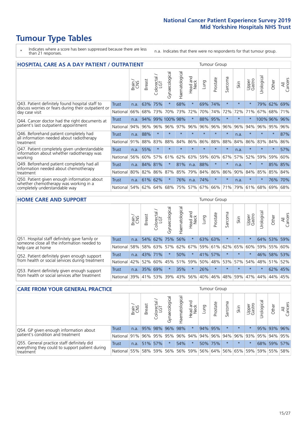- \* Indicates where a score has been suppressed because there are less than 21 responses.
- n.a. Indicates that there were no respondents for that tumour group.

| <b>HOSPITAL CARE AS A DAY PATIENT / OUTPATIENT</b>                                                                    |              |       |               |                 |                |                |                         | <b>Tumour Group</b> |          |              |      |                 |            |          |                |  |
|-----------------------------------------------------------------------------------------------------------------------|--------------|-------|---------------|-----------------|----------------|----------------|-------------------------|---------------------|----------|--------------|------|-----------------|------------|----------|----------------|--|
|                                                                                                                       |              | Brain | <b>Breast</b> | ╮<br>Colorectal | Gynaecological | Haematological | ead and<br>Neck<br>Head | Lung                | Prostate | arcoma<br>ιñ | Skin | Upper<br>Gastro | Urological | Other    | All<br>Cancers |  |
| Q43. Patient definitely found hospital staff to                                                                       | Trust        | n.a.  | 63%           | 75%             | $\star$        | 68%            | $\star$                 | 69%                 | 74%      | $\star$      |      | $\star$         | 79%        | 62%      | 69%            |  |
| discuss worries or fears during their outpatient or<br>day case visit                                                 | National     | 66%   | 68%           | 73%             | 70%            | 73%            | 72%                     | 70%                 | 74%      | 72%          | 72%  | 71%             | 67%        | 68%      | 71%            |  |
| Q44. Cancer doctor had the right documents at<br>patient's last outpatient appointment                                | Trust        | n.a.  | 94%           | 99%             | 100% 98%       |                | $\star$                 | 88%                 | 95%      | $\star$      |      |                 |            | 100% 96% | 96%            |  |
|                                                                                                                       | National     | 94%   | 96%           | 96%             | 96%            | 97%            | 96%                     | 96%                 | 96%      | 96%          | 96%  | 94%             | 96%        | 95%      | 96%            |  |
| Q46. Beforehand patient completely had                                                                                | <b>Trust</b> | n.a.  | 88%           | $\star$         | $\star$        | $\star$        | $\star$                 | $\star$             | $\star$  | $\star$      | n.a. | $\star$         | $\star$    | $\ast$   | 87%            |  |
| all information needed about radiotherapy<br>treatment                                                                | National     | 91%   | 88%           | 83%             | 88%            | 84%            | 86%                     | 86%                 | 88%      | 88%          | 84%  | 86%             | 83%        | 84%      | 86%            |  |
| Q47. Patient completely given understandable                                                                          | <b>Trust</b> | n.a.  | 55%           | $\star$         |                |                | $\star$                 | $\star$             | $\star$  | $\star$      | n.a. | $\star$         | $\star$    | $\ast$   | 57%            |  |
| information about whether radiotherapy was<br>working                                                                 | National     | 56%   | 60%           | 57%             | 61%            | 62%            | 63%                     | 59%                 | 60%      | 67%          | 57%  | 52%             | 59%        | 59%      | 60%            |  |
| Q49. Beforehand patient completely had all                                                                            | <b>Trust</b> | n.a.  | 84%           | 81%             |                | 81%            | n.a.                    | 88%                 | $\star$  | $\star$      | n.a. |                 | $\star$    | 85% 85%  |                |  |
| information needed about chemotherapy<br>treatment                                                                    | National     | 80%   | 82%           | 86%             | 87%            | 85%            | 79%                     | 84%                 | 86%      | 86%          | 90%  | 84%             | 85%        | 85%      | 84%            |  |
| Q50. Patient given enough information about<br>whether chemotherapy was working in a<br>completely understandable way | Trust        | n.a.  | 61%           | 62%             |                | 76%            | n.a.                    | 74%                 | $\star$  | $\star$      | n.a. | $\star$         | $\star$    | 76%      | 70%            |  |
|                                                                                                                       | National     | 54%   | 62%           | 64%             | 68%            | 75%            |                         | 57% 67%             | 66%      | 71%          | 79%  | 61%             | 68%        | 69%      | 68%            |  |

#### **HOME CARE AND SUPPORT** Tumour Group

|                                                                                                                   |              | Brain | <b>Breast</b> | Colorectal<br>LGT | $\overline{\sigma}$<br>Gynaecologic | Haematological | Head and<br>Neck | <b>Lung</b> | Prostate | Sarcoma | Skin                        | Upper<br>Gastro | Urological | Other           | All<br>Cancers |
|-------------------------------------------------------------------------------------------------------------------|--------------|-------|---------------|-------------------|-------------------------------------|----------------|------------------|-------------|----------|---------|-----------------------------|-----------------|------------|-----------------|----------------|
| Q51. Hospital staff definitely gave family or<br>someone close all the information needed to<br>help care at home | <b>Trust</b> | n.a.  | 54%           | 62%               | 75%                                 | 56%            | $\star$          | 63% 63%     |          |         | $\star$                     | $\star$         |            | 64% 53%         | 59%            |
|                                                                                                                   | National     | 58%   |               | 58% 63%           | 57%                                 |                |                  |             |          |         | 62% 67% 59% 61% 62% 65%     | 60%             | 59%        | 55%             | 60%            |
| Q52. Patient definitely given enough support<br>from health or social services during treatment                   | Trust        | n.a.  | 43% 71%       |                   | $\star$                             | 50%            | $\star$          | 41% 57%     |          |         | $\star$                     | $\star$         |            | 46% 58% 53%     |                |
|                                                                                                                   | National     | 42%   | 52%           | 60%               |                                     |                |                  |             |          |         | 45% 51% 59% 50% 48% 53% 57% |                 |            | 54%   48%   51% | 52%            |
| Q53. Patient definitely given enough support<br>from health or social services after treatment                    | Trust        | n.a.  |               | 35% 69%           |                                     | 35%            | $\star$          | 26%         | $\star$  | $\star$ | $\star$                     | $\star$         | $\star$    | 62% 45%         |                |
|                                                                                                                   | National l   | 39%   | 41% 53%       |                   | 39%                                 | 43%            | 56%              | $ 40\% $    | 46%      |         | 48% 59%                     | 47%             | 44%        | 44%             | 45%            |

| <b>CARE FROM YOUR GENERAL PRACTICE</b>                                                                     |              |       |               |                   |                          |                | <b>Tumour Group</b> |      |                                                     |         |         |                 |                       |             |                |
|------------------------------------------------------------------------------------------------------------|--------------|-------|---------------|-------------------|--------------------------|----------------|---------------------|------|-----------------------------------------------------|---------|---------|-----------------|-----------------------|-------------|----------------|
|                                                                                                            |              | Brain | <b>Breast</b> | Colorectal<br>LGT | $\sigma$<br>Gynaecologic | Haematological | Head and<br>Neck    | Lung | Prostate                                            | Sarcoma | Skin    | Upper<br>Gastro | $\sigma$<br>Urologica | Other       | All<br>Cancers |
| Q54. GP given enough information about<br>patient's condition and treatment                                | Trust        | n.a.  |               |                   | 95% 98% 96% 98%          |                | $\star$             |      | 94% 95%                                             |         | $\star$ | $\star$         |                       | 95% 93% 96% |                |
|                                                                                                            | National 91% |       |               |                   |                          |                |                     |      | 96% 95% 95% 96% 94% 94% 96% 94% 96% 93% 93% 94% 95% |         |         |                 |                       |             |                |
| Q55. General practice staff definitely did<br>everything they could to support patient during<br>treatment | <b>Trust</b> | n.a.  |               | 51% 57%           | $\star$                  | 54%            | $\star$             |      | 50% 75%                                             |         | $\star$ |                 |                       | 68% 59% 57% |                |
|                                                                                                            | National     | 55%   |               | 58% 59%           |                          |                | 56% 56% 59%         |      | 56% 64% 56% 65% 59%                                 |         |         |                 |                       | 59% 55%     | 58%            |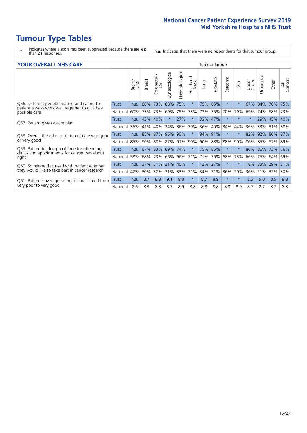- \* Indicates where a score has been suppressed because there are less than 21 responses.
- n.a. Indicates that there were no respondents for that tumour group.

#### **YOUR OVERALL NHS CARE** THE CONSTRUCTION OF THE THROUP GROUP TUMOUR GROUP

|                                                                                                 |              | Brain | <b>Breast</b> | olorectal<br>LGT<br>Û | Gynaecological | Haematological | <b>Bad and<br/>Neck</b><br>Head | Lung    | Prostate | arcoma<br>$\sqrt{ }$ | Skin    | Upper<br>Gastro | $\overline{c}$<br>Urologia | Other       | All<br>Cancers |
|-------------------------------------------------------------------------------------------------|--------------|-------|---------------|-----------------------|----------------|----------------|---------------------------------|---------|----------|----------------------|---------|-----------------|----------------------------|-------------|----------------|
| Q56. Different people treating and caring for                                                   | Trust        | n.a.  | 68%           | 73%                   | 88%            | 75%            | $\star$                         | 75%     | 85%      | $\star$              | $\star$ | 67%             | 84%                        | 70%         | 75%            |
| patient always work well together to give best<br>possible care                                 | National     | 60%   |               | 73% 73%               | 69%            | 75%            | 73%                             | 73% 75% |          | 70%                  | 79%     | 69%             | 74%                        | 68%         | 73%            |
| Q57. Patient given a care plan                                                                  | <b>Trust</b> | n.a.  | 43%           | 40%                   |                | 27%            | $\star$                         | 33% 47% |          | $\star$              | $\star$ | $\star$         | 29%                        | 45% 40%     |                |
|                                                                                                 | National     | 36%   | 41%           | 40%                   | 34%            | 36%            | 39%                             | 36%     | 40%      | 34%                  | 44%     | 36%             | 33%                        | 31%         | 38%            |
| Q58. Overall the administration of care was good                                                | <b>Trust</b> | n.a.  | 85%           | 87%                   | 96%            | 90%            | $\star$                         | 84% 91% |          | $\ast$               | $\star$ | 82%             | 92%                        | 80% 87%     |                |
| or very good                                                                                    | National     | 85%   |               | 90% 88%               | 87% 91%        |                | 90%                             |         | 90% 88%  | 88%                  | 90%     | 86%             |                            | 85% 87% 89% |                |
| Q59. Patient felt length of time for attending<br>clinics and appointments for cancer was about | <b>Trust</b> | n.a.  |               | 67% 83% 69%           |                | 74%            | $\star$                         | 75% 85% |          | $\star$              | $\star$ | 86% 86%         |                            | 73%         | 76%            |
| right                                                                                           | National     | 58%   | 68%           | 73%                   | 66%            | 66%            | 71%                             | 71%     | 76%      | 68%                  | 73%     | 66%             | 75%                        | 64%         | 69%            |
| Q60. Someone discussed with patient whether                                                     | Trust        | n.a.  |               | 37% 31%               | 21%            | 40%            | $\ast$                          | 12%     | 27%      | $\star$              | $\star$ | 18%             | 33%                        | 29%         | 31%            |
| they would like to take part in cancer research                                                 | National     | 42%   | 30%           | 32%                   | 31%            | 33%            | 21%                             | 34%     | 31%      | 36%                  | 20%     | 36%             | 21%                        | 32%         | 30%            |
| Q61. Patient's average rating of care scored from                                               | Trust        | n.a.  | 8.7           | 8.8                   | 9.1            | 8.8            | $\star$                         | 8.7     | 8.9      | $\star$              | $\ast$  | 8.3             | 9.0                        | 8.5         | 8.8            |
| very poor to very good                                                                          | National     | 8.6   | 8.9           | 8.8                   | 8.7            | 8.9            | 8.8                             | 8.8     | 8.8      | 8.8                  | 8.9     | 8.7             | 8.7                        | 8.7         | 8.8            |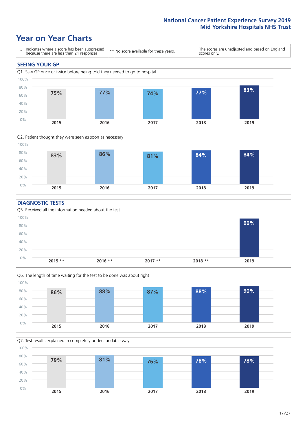### **Year on Year Charts**





#### **DIAGNOSTIC TESTS**





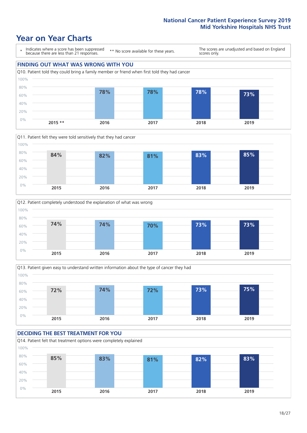









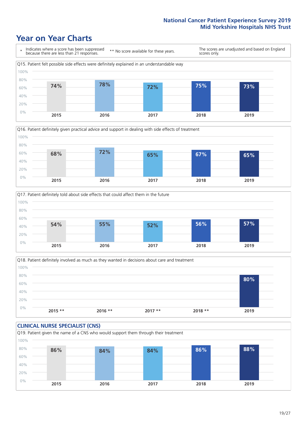





Q18. Patient definitely involved as much as they wanted in decisions about care and treatment  $0%$ 20% 40% 60% 80% 100% **2015 \*\* 2016 \*\* 2017 \*\* 2018 \*\* 2019 80%**

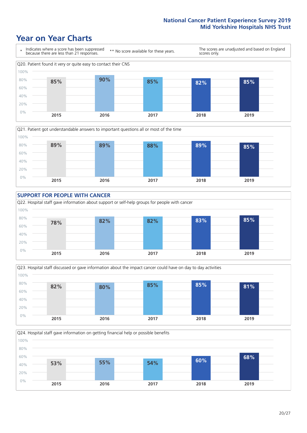







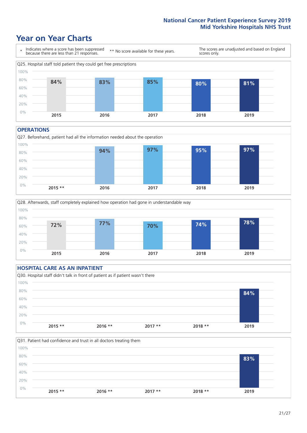### **Year on Year Charts**



#### **OPERATIONS**





#### **HOSPITAL CARE AS AN INPATIENT** Q30. Hospital staff didn't talk in front of patient as if patient wasn't there 0% 20% 40% 60% 80% 100% **2015 \*\* 2016 \*\* 2017 \*\* 2018 \*\* 2019 84%**

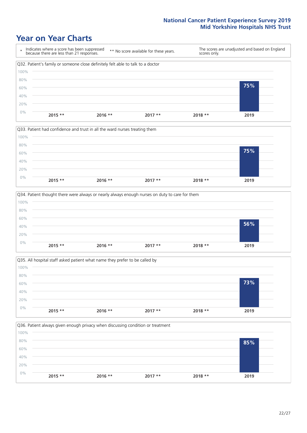







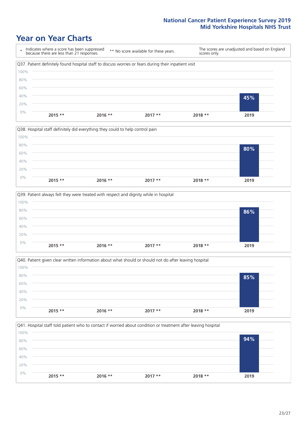







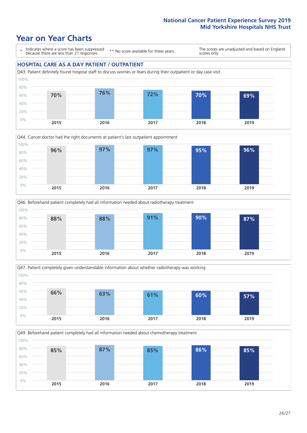### **Year on Year Charts**

\* Indicates where a score has been suppressed because there are less than 21 responses.

\*\* No score available for these years.

The scores are unadjusted and based on England scores only.

#### **HOSPITAL CARE AS A DAY PATIENT / OUTPATIENT**









Q49. Beforehand patient completely had all information needed about chemotherapy treatment 0% 20% 40% 60% 80% 100% **2015 2016 2017 2018 2019 85% 87% 85% 86% 85%**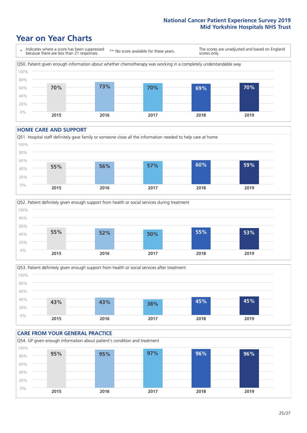### **Year on Year Charts**



#### **HOME CARE AND SUPPORT**







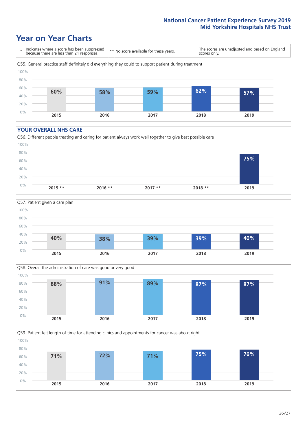### **Year on Year Charts**

\* Indicates where a score has been suppressed because there are less than 21 responses. \*\* No score available for these years. The scores are unadjusted and based on England scores only. Q55. General practice staff definitely did everything they could to support patient during treatment 0% 20% 40% 60% 80% 100% **2015 2016 2017 2018 2019 60% 58% 59% 62% 57%**

#### **YOUR OVERALL NHS CARE**







Q59. Patient felt length of time for attending clinics and appointments for cancer was about right 0% 20% 40% 60% 80% 100% **2015 2016 2017 2018 2019 71% 72% 71% 75% 76%**